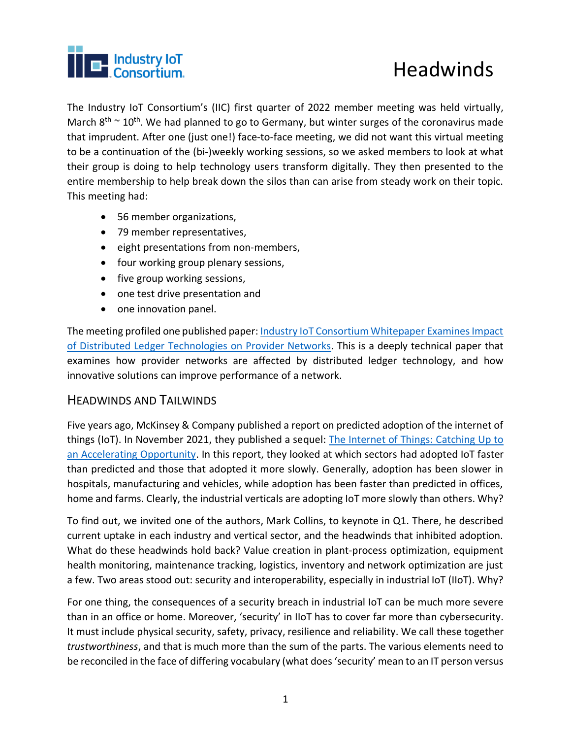

The Industry IoT Consortium's (IIC) first quarter of 2022 member meeting was held virtually, March  $8<sup>th</sup> \sim 10<sup>th</sup>$ . We had planned to go to Germany, but winter surges of the coronavirus made that imprudent. After one (just one!) face-to-face meeting, we did not want this virtual meeting to be a continuation of the (bi-)weekly working sessions, so we asked members to look at what their group is doing to help technology users transform digitally. They then presented to the entire membership to help break down the silos than can arise from steady work on their topic. This meeting had:

- 56 member organizations,
- 79 member representatives,
- eight presentations from non-members,
- four working group plenary sessions,
- five group working sessions,
- one test drive presentation and
- one innovation panel.

The meeting profiled one published paper: [Industry IoT Consortium Whitepaper Examines Impact](https://www.iiconsortium.org/press-room/01-13-22.htm)  [of Distributed Ledger Technologies on Provider Networks.](https://www.iiconsortium.org/press-room/01-13-22.htm) This is a deeply technical paper that examines how provider networks are affected by distributed ledger technology, and how innovative solutions can improve performance of a networ[k.](https://www.iiconsortium.org/press-room/01-13-22.htm)

### HEADWINDS AND TAILWINDS

Five years ago, McKinsey & Company published a report on predicted adoption of the internet of things (IoT). In November 2021, they published a sequel: [The Internet of Things: Catching Up to](https://www.mckinsey.com/business-functions/mckinsey-digital/our-insights/iot-value-set-to-accelerate-through-2030-where-and-how-to-capture-it)  [an Accelerating Opportunity.](https://www.mckinsey.com/business-functions/mckinsey-digital/our-insights/iot-value-set-to-accelerate-through-2030-where-and-how-to-capture-it) In this report, they looked at which sectors had adopted IoT faster than predicted and those that adopted it more slowly. Generally, adoption has been slower in hospitals, manufacturing and vehicles, while adoption has been faster than predicted in offices, home and farms. Clearly, the industrial verticals are adopting IoT more slowly than others. Why?

To find out, we invited one of the authors, Mark Collins, to keynote in Q1. There, he described current uptake in each industry and vertical sector, and the headwinds that inhibited adoption. What do these headwinds hold back? Value creation in plant-process optimization, equipment health monitoring, maintenance tracking, logistics, inventory and network optimization are just a few. Two areas stood out: security and interoperability, especially in industrial IoT (IIoT). Why?

For one thing, the consequences of a security breach in industrial IoT can be much more severe than in an office or home. Moreover, 'security' in IIoT has to cover far more than cybersecurity. It must include physical security, safety, privacy, resilience and reliability. We call these together *trustworthiness*, and that is much more than the sum of the parts. The various elements need to be reconciled in the face of differing vocabulary (what does 'security' mean to an IT person versus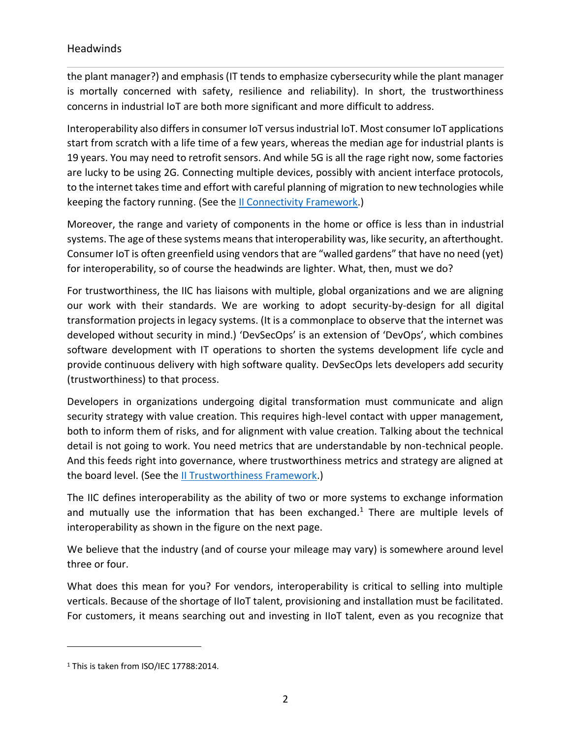the plant manager?) and emphasis (IT tends to emphasize cybersecurity while the plant manager is mortally concerned with safety, resilience and reliability). In short, the trustworthiness concerns in industrial IoT are both more significant and more difficult to address.

Interoperability also differs in consumer IoT versus industrial IoT. Most consumer IoT applications start from scratch with a life time of a few years, whereas the median age for industrial plants is 19 years. You may need to retrofit sensors. And while 5G is all the rage right now, some factories are lucky to be using 2G. Connecting multiple devices, possibly with ancient interface protocols, to the internet takes time and effort with careful planning of migration to new technologies while keeping the factory running. (See th[e II Connectivity Framework.](https://www.iiconsortium.org/IICF.htm))

Moreover, the range and variety of components in the home or office is less than in industrial systems. The age of these systems means that interoperability was, like security, an afterthought. Consumer IoT is often greenfield using vendors that are "walled gardens" that have no need (yet) for interoperability, so of course the headwinds are lighter. What, then, must we do?

For trustworthiness, the IIC has liaisons with multiple, global organizations and we are aligning our work with their standards. We are working to adopt security-by-design for all digital transformation projects in legacy systems. (It is a commonplace to observe that the internet was developed without security in mind.) 'DevSecOps' is an extension of 'DevOps', which combines software development with IT operations to shorten the [systems development life cycle](https://en.wikipedia.org/wiki/Systems_development_life_cycle) and provide [continuous delivery](https://en.wikipedia.org/wiki/Continuous_delivery) with high software quality. DevSecOps lets developers add security (trustworthiness) to that process.

Developers in organizations undergoing digital transformation must communicate and align security strategy with value creation. This requires high-level contact with upper management, both to inform them of risks, and for alignment with value creation. Talking about the technical detail is not going to work. You need metrics that are understandable by non-technical people. And this feeds right into governance, where trustworthiness metrics and strategy are aligned at the board level. (See the *II Trustworthiness Framework*.)

The IIC defines interoperability as the ability of two or more systems to exchange information and mutually use the information that has been exchanged. $1$  There are multiple levels of interoperability as shown in the figure on the next page.

We believe that the industry (and of course your mileage may vary) is somewhere around level three or four.

What does this mean for you? For vendors, interoperability is critical to selling into multiple verticals. Because of the shortage of IIoT talent, provisioning and installation must be facilitated. For customers, it means searching out and investing in IIoT talent, even as you recognize that

<sup>1</sup> This is taken from ISO/IEC 17788:2014.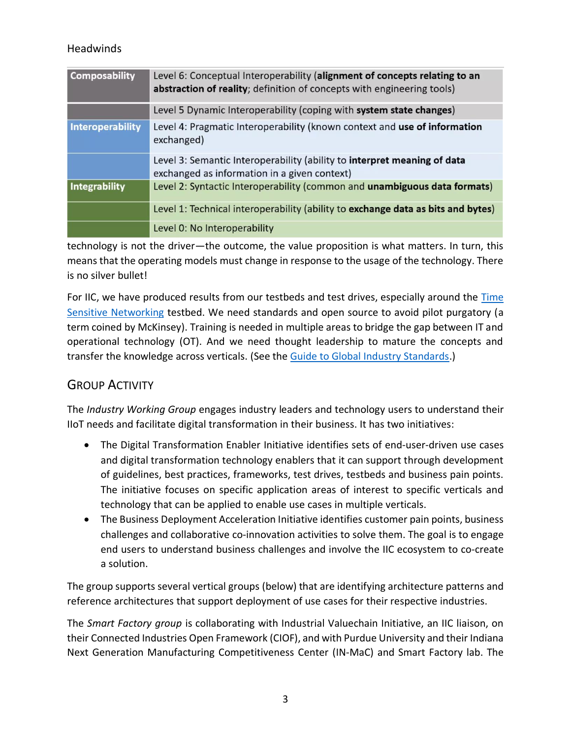| <b>Composability</b> | Level 6: Conceptual Interoperability (alignment of concepts relating to an<br>abstraction of reality; definition of concepts with engineering tools) |
|----------------------|------------------------------------------------------------------------------------------------------------------------------------------------------|
|                      | Level 5 Dynamic Interoperability (coping with system state changes)                                                                                  |
| Interoperability     | Level 4: Pragmatic Interoperability (known context and use of information<br>exchanged)                                                              |
|                      | Level 3: Semantic Interoperability (ability to interpret meaning of data<br>exchanged as information in a given context)                             |
| Integrability        | Level 2: Syntactic Interoperability (common and unambiguous data formats)                                                                            |
|                      | Level 1: Technical interoperability (ability to exchange data as bits and bytes)                                                                     |
|                      | Level 0: No Interoperability                                                                                                                         |

technology is not the driver—the outcome, the value proposition is what matters. In turn, this means that the operating models must change in response to the usage of the technology. There is no silver bullet!

For IIC, we have produced results from our testbeds and test drives, especially around the Time [Sensitive Networking](https://hub.iiconsortium.org/time-sensitive-networks) testbed. We need standards and open source to avoid pilot purgatory (a term coined by McKinsey). Training is needed in multiple areas to bridge the gap between IT and operational technology (OT). And we need thought leadership to mature the concepts and transfer the knowledge across verticals. (See the [Guide to Global Industry Standards.](https://www.iiconsortium.org/press-room/06-02-21.htm))

# GROUP ACTIVITY

The *Industry Working Group* engages industry leaders and technology users to understand their IIoT needs and facilitate digital transformation in their business. It has two initiatives:

- The Digital Transformation Enabler Initiative identifies sets of end-user-driven use cases and digital transformation technology enablers that it can support through development of guidelines, best practices, frameworks, test drives, testbeds and business pain points. The initiative focuses on specific application areas of interest to specific verticals and technology that can be applied to enable use cases in multiple verticals.
- The Business Deployment Acceleration Initiative identifies customer pain points, business challenges and collaborative co-innovation activities to solve them. The goal is to engage end users to understand business challenges and involve the IIC ecosystem to co-create a solution.

The group supports several vertical groups (below) that are identifying architecture patterns and reference architectures that support deployment of use cases for their respective industries.

The *Smart Factory group* is collaborating with Industrial Valuechain Initiative, an IIC liaison, on their Connected Industries Open Framework (CIOF), and with Purdue University and their Indiana Next Generation Manufacturing Competitiveness Center (IN-MaC) and Smart Factory lab. The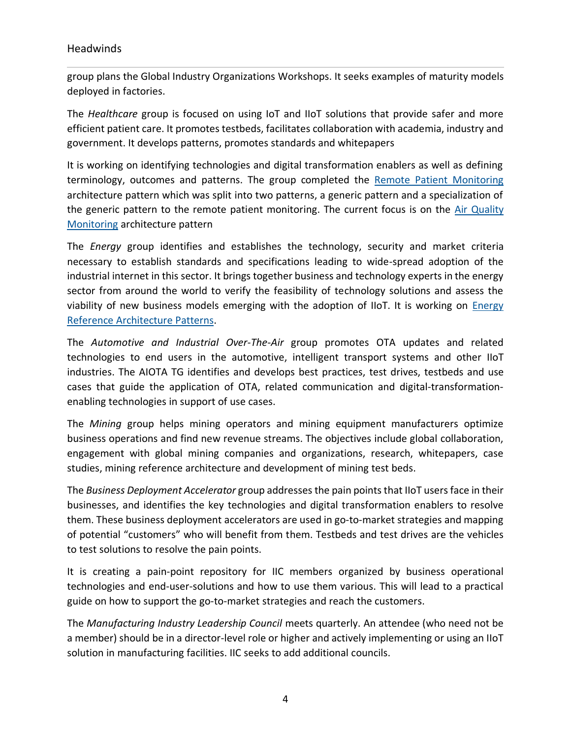group plans the Global Industry Organizations Workshops. It seeks examples of maturity models deployed in factories.

The *Healthcare* group is focused on using IoT and IIoT solutions that provide safer and more efficient patient care. It promotes testbeds, facilitates collaboration with academia, industry and government. It develops patterns, promotes standards and whitepapers

It is working on identifying technologies and digital transformation enablers as well as defining terminology, outcomes and patterns. The group completed the Remote Patient [Monitoring](https://engage.iiconsortium.org/wg/Healthcare/document/folder/1118) architecture pattern which was split into two patterns, a generic pattern and a specialization of the generic pattern to the remote patient monitoring. The current focus is on the Air [Quality](https://engage.iiconsortium.org/wg/Healthcare/document/folder/1118) [Monitoring](https://engage.iiconsortium.org/wg/Healthcare/document/folder/1118) architecture pattern

The *Energy* group identifies and establishes the technology, security and market criteria necessary to establish standards and specifications leading to wide-spread adoption of the industrial internet in this sector. It brings together business and technology experts in the energy sector from around the world to verify the feasibility of technology solutions and assess the viability of new business models emerging with the adoption of IIoT. It is working on **Energy** Reference [Architecture](https://engage.iiconsortium.org/wg/Allmembers/document/24528) Patterns.

The *Automotive and Industrial Over-The-Air* group promotes OTA updates and related technologies to end users in the automotive, intelligent transport systems and other IIoT industries. The AIOTA TG identifies and develops best practices, test drives, testbeds and use cases that guide the application of OTA, related communication and digital-transformationenabling technologies in support of use cases.

The *Mining* group helps mining operators and mining equipment manufacturers optimize business operations and find new revenue streams. The objectives include global collaboration, engagement with global mining companies and organizations, research, whitepapers, case studies, mining reference architecture and development of mining test beds.

The *Business Deployment Accelerator* group addresses the pain pointsthat IIoT usersface in their businesses, and identifies the key technologies and digital transformation enablers to resolve them. These business deployment accelerators are used in go-to-market strategies and mapping of potential "customers" who will benefit from them. Testbeds and test drives are the vehicles to test solutions to resolve the pain points.

It is creating a pain-point repository for IIC members organized by business operational technologies and end-user-solutions and how to use them various. This will lead to a practical guide on how to support the go-to-market strategies and reach the customers.

The *Manufacturing Industry Leadership Council* meets quarterly. An attendee (who need not be a member) should be in a director-level role or higher and actively implementing or using an IIoT solution in manufacturing facilities. IIC seeks to add additional councils.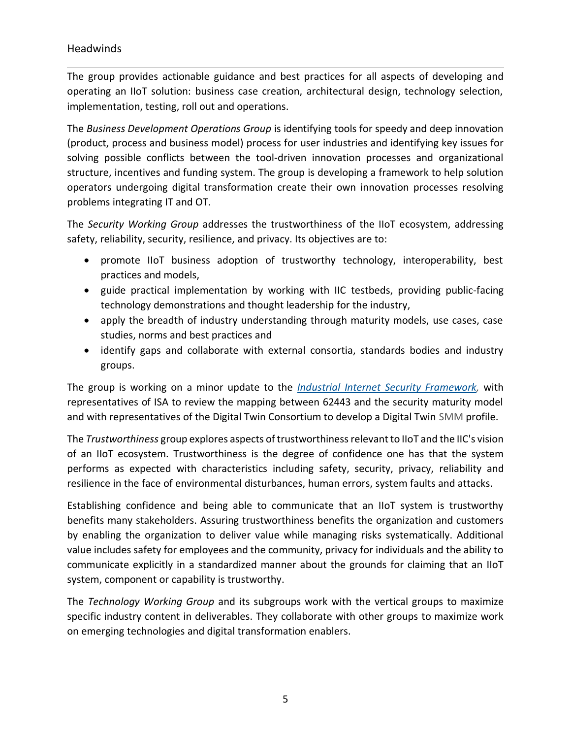The group provides actionable guidance and best practices for all aspects of developing and operating an IIoT solution: business case creation, architectural design, technology selection, implementation, testing, roll out and operations.

The *Business Development Operations Group* is identifying tools for speedy and deep innovation (product, process and business model) process for user industries and identifying key issues for solving possible conflicts between the tool-driven innovation processes and organizational structure, incentives and funding system. The group is developing a framework to help solution operators undergoing digital transformation create their own innovation processes resolving problems integrating IT and OT.

The *Security Working Group* addresses the trustworthiness of the IIoT ecosystem, addressing safety, reliability, security, resilience, and privacy. Its objectives are to:

- promote IIoT business adoption of trustworthy technology, interoperability, best practices and models,
- guide practical implementation by working with IIC testbeds, providing public-facing technology demonstrations and thought leadership for the industry,
- apply the breadth of industry understanding through maturity models, use cases, case studies, norms and best practices and
- identify gaps and collaborate with external consortia, standards bodies and industry groups.

The group is working on a minor update to the *Industrial Internet Security [Framework,](https://engage.iiconsortium.org/wg/AllMembers/document/11694)* with representatives of ISA to review the mapping between 62443 and the security maturity model and with representatives of the Digital Twin Consortium to develop a Digital Twin SMM profile.

The *Trustworthiness* group explores aspects of trustworthinessrelevantto IIoT and the IIC's vision of an IIoT ecosystem. Trustworthiness is the degree of confidence one has that the system performs as expected with characteristics including safety, security, privacy, reliability and resilience in the face of environmental disturbances, human errors, system faults and attacks.

Establishing confidence and being able to communicate that an IIoT system is trustworthy benefits many stakeholders. Assuring trustworthiness benefits the organization and customers by enabling the organization to deliver value while managing risks systematically. Additional value includes safety for employees and the community, privacy for individuals and the ability to communicate explicitly in a standardized manner about the grounds for claiming that an IIoT system, component or capability is trustworthy.

The *Technology Working Group* and its subgroups work with the vertical groups to maximize specific industry content in deliverables. They collaborate with other groups to maximize work on emerging technologies and digital transformation enablers.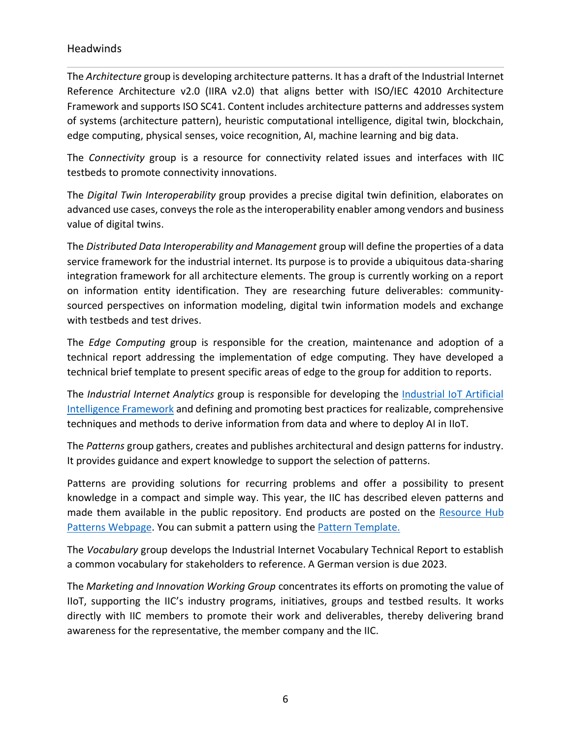The *Architecture* group is developing architecture patterns. It has a draft of the Industrial Internet Reference Architecture v2.0 (IIRA v2.0) that aligns better with ISO/IEC 42010 Architecture Framework and supports ISO SC41. Content includes architecture patterns and addresses system of systems (architecture pattern), heuristic computational intelligence, digital twin, blockchain, edge computing, physical senses, voice recognition, AI, machine learning and big data.

The *Connectivity* group is a resource for connectivity related issues and interfaces with IIC testbeds to promote connectivity innovations.

The *Digital Twin Interoperability* group provides a precise digital twin definition, elaborates on advanced use cases, conveys the role as the interoperability enabler among vendors and business value of digital twins.

The *Distributed Data Interoperability and Management* group will define the properties of a data service framework for the industrial internet. Its purpose is to provide a ubiquitous data-sharing integration framework for all architecture elements. The group is currently working on a report on information entity identification. They are researching future deliverables: communitysourced perspectives on information modeling, digital twin information models and exchange with testbeds and test drives.

The *Edge Computing* group is responsible for the creation, maintenance and adoption of a technical report addressing the implementation of edge computing. They have developed a technical brief template to present specific areas of edge to the group for addition to reports.

The *Industrial Internet Analytics* group is responsible for developing the *Industrial IoT Artificial* [Intelligence Framework](https://www.iiconsortium.org/pdf/Industrial-AI-Framework-Final-2022-02-21.pdf) and defining and promoting best practices for realizable, comprehensive techniques and methods to derive information from data and where to deploy AI in IIoT.

The *Patterns* group gathers, creates and publishes architectural and design patterns for industry. It provides guidance and expert knowledge to support the selection of patterns.

Patterns are providing solutions for recurring problems and offer a possibility to present knowledge in a compact and simple way. This year, the IIC has described eleven patterns and made them available in the public repository. End products are posted on the [Resource](https://hub.iiconsortium.org/patterns) Hub Patterns [Webpage.](https://hub.iiconsortium.org/patterns) You can submit a pattern using the **Pattern Template**.

The *Vocabulary* group develops the Industrial Internet Vocabulary Technical Report to establish a common vocabulary for stakeholders to reference. A German version is due 2023.

The *Marketing and Innovation Working Group* concentrates its efforts on promoting the value of IIoT, supporting the IIC's industry programs, initiatives, groups and testbed results. It works directly with IIC members to promote their work and deliverables, thereby delivering brand awareness for the representative, the member company and the IIC.